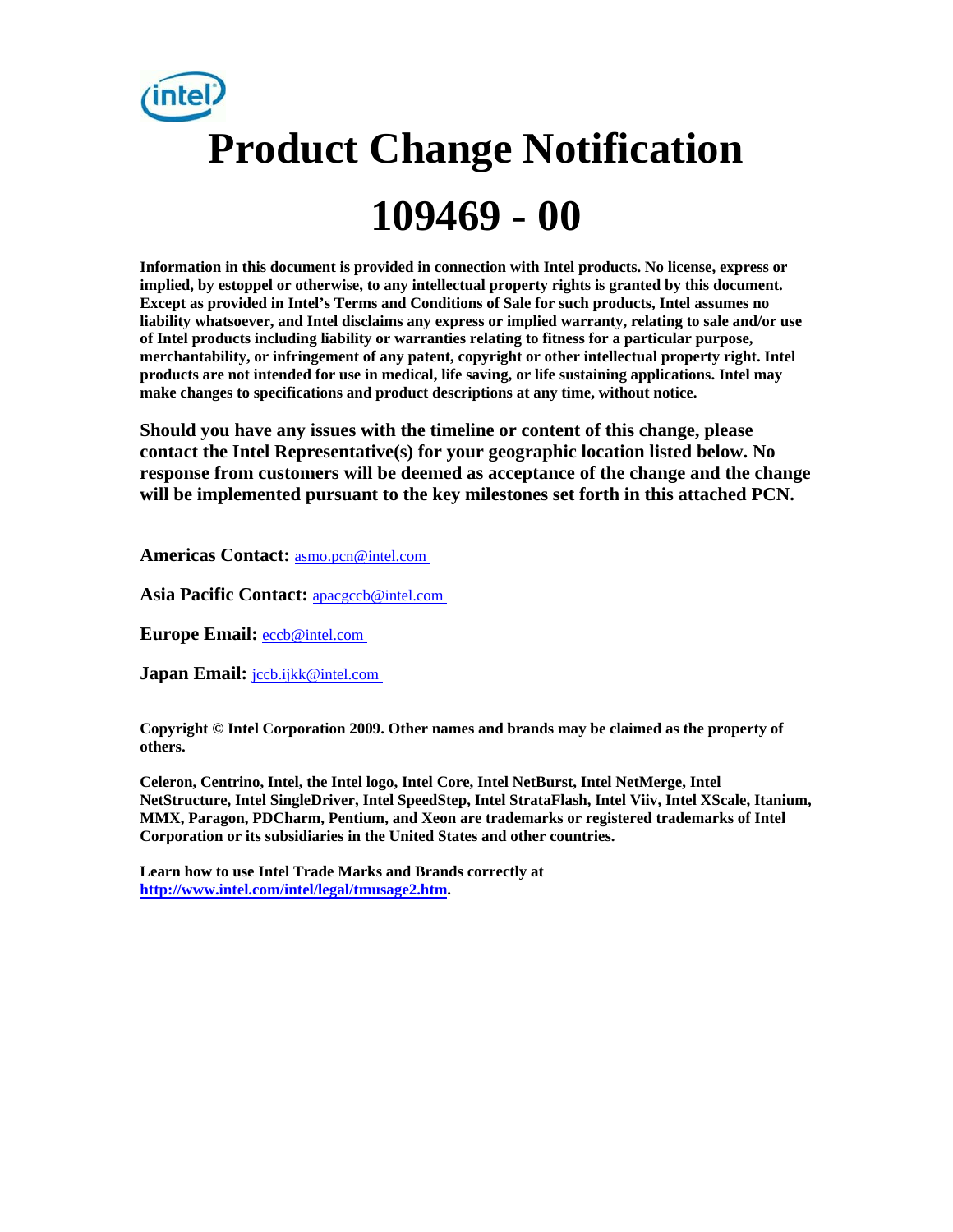# **Product Change Notification 109469 - 00**

**Information in this document is provided in connection with Intel products. No license, express or implied, by estoppel or otherwise, to any intellectual property rights is granted by this document. Except as provided in Intel's Terms and Conditions of Sale for such products, Intel assumes no liability whatsoever, and Intel disclaims any express or implied warranty, relating to sale and/or use of Intel products including liability or warranties relating to fitness for a particular purpose, merchantability, or infringement of any patent, copyright or other intellectual property right. Intel products are not intended for use in medical, life saving, or life sustaining applications. Intel may make changes to specifications and product descriptions at any time, without notice.** 

**Should you have any issues with the timeline or content of this change, please contact the Intel Representative(s) for your geographic location listed below. No response from customers will be deemed as acceptance of the change and the change will be implemented pursuant to the key milestones set forth in this attached PCN.** 

**Americas Contact:** [asmo.pcn@intel.com](mailto:asmo.pcn@intel.com) 

**Asia Pacific Contact:** [apacgccb@intel.com](mailto:apacgccb@intel.com) 

**Europe Email:** [eccb@intel.com](mailto:eccb@intel.com) 

Japan Email: **jccb.ijkk@intel.com** 

**Copyright © Intel Corporation 2009. Other names and brands may be claimed as the property of others.**

**Celeron, Centrino, Intel, the Intel logo, Intel Core, Intel NetBurst, Intel NetMerge, Intel NetStructure, Intel SingleDriver, Intel SpeedStep, Intel StrataFlash, Intel Viiv, Intel XScale, Itanium, MMX, Paragon, PDCharm, Pentium, and Xeon are trademarks or registered trademarks of Intel Corporation or its subsidiaries in the United States and other countries.** 

**Learn how to use Intel Trade Marks and Brands correctly at [http://www.intel.com/intel/legal/tmusage2.htm.](http://www.intel.com/intel/legal/tmusage2.htm)**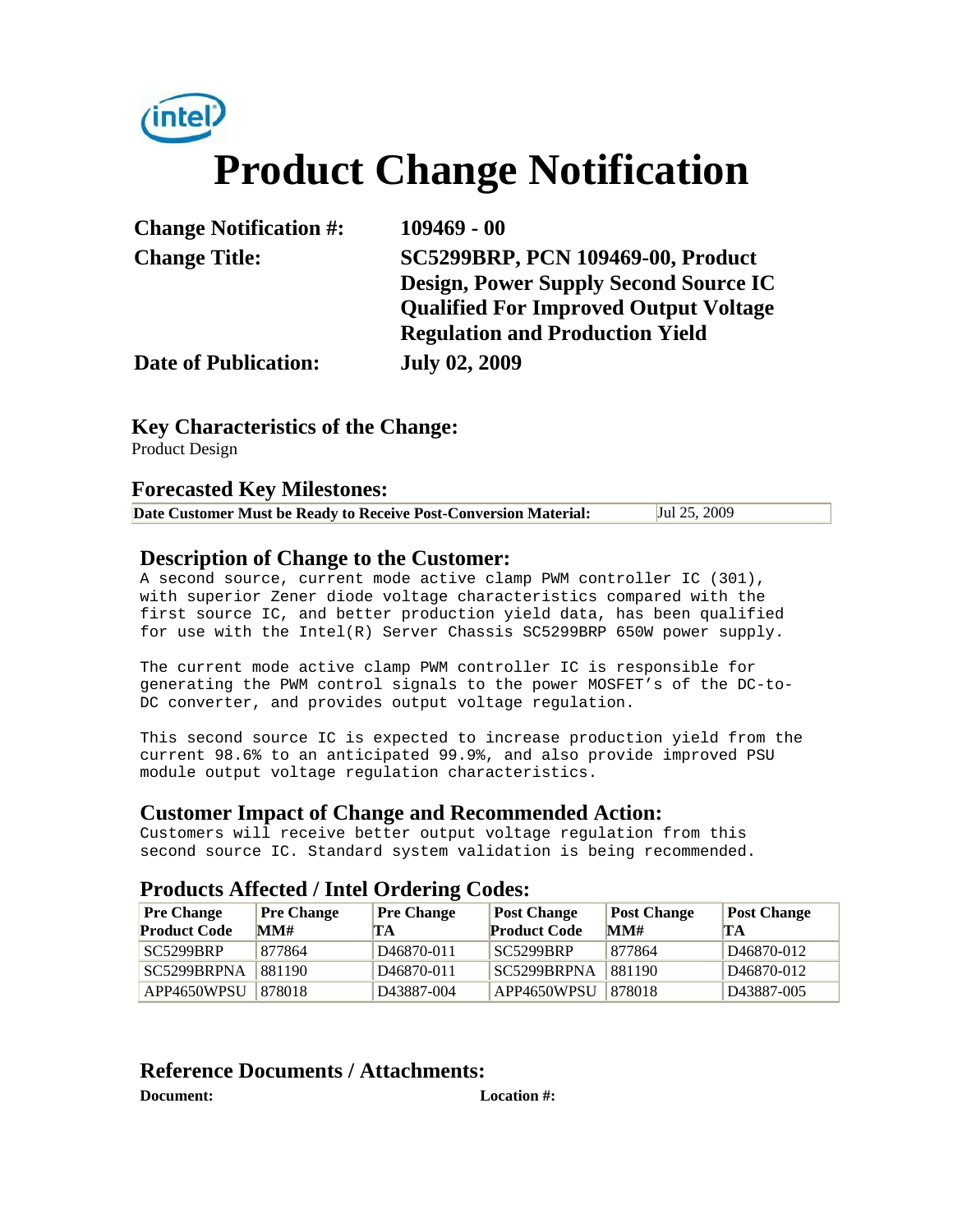

| <b>Change Notification #:</b> | $109469 - 00$                                |  |  |
|-------------------------------|----------------------------------------------|--|--|
| <b>Change Title:</b>          | SC5299BRP, PCN 109469-00, Product            |  |  |
|                               | <b>Design, Power Supply Second Source IC</b> |  |  |
|                               | <b>Qualified For Improved Output Voltage</b> |  |  |
|                               | <b>Regulation and Production Yield</b>       |  |  |
| <b>Date of Publication:</b>   | <b>July 02, 2009</b>                         |  |  |

#### **Key Characteristics of the Change:**

Product Design

#### **Forecasted Key Milestones:**

|  | Date Customer Must be Ready to Receive Post-Conversion Material: | Jul 25, 2009 |
|--|------------------------------------------------------------------|--------------|
|--|------------------------------------------------------------------|--------------|

#### **Description of Change to the Customer:**

A second source, current mode active clamp PWM controller IC (301), with superior Zener diode voltage characteristics compared with the first source IC, and better production yield data, has been qualified for use with the Intel(R) Server Chassis SC5299BRP 650W power supply.

The current mode active clamp PWM controller IC is responsible for generating the PWM control signals to the power MOSFET's of the DC-to-DC converter, and provides output voltage regulation.

This second source IC is expected to increase production yield from the current 98.6% to an anticipated 99.9%, and also provide improved PSU module output voltage regulation characteristics.

#### **Customer Impact of Change and Recommended Action:**

Customers will receive better output voltage regulation from this second source IC. Standard system validation is being recommended.

#### **Products Affected / Intel Ordering Codes:**

| <b>Pre Change</b>   | <b>Pre Change</b> | <b>Pre Change</b>       | <b>Post Change</b>  | <b>Post Change</b> | <b>Post Change</b>      |
|---------------------|-------------------|-------------------------|---------------------|--------------------|-------------------------|
| <b>Product Code</b> | MM#               | ГA                      | <b>Product Code</b> | MM#                | TА                      |
| SC5299BRP           | 877864            | D <sub>46870</sub> -011 | SC5299BRP           | 877864             | D <sub>46870</sub> -012 |
| SC5299BRPNA         | 881190            | D <sub>46870</sub> -011 | SC5299BRPNA         | 881190             | D <sub>46870</sub> -012 |
| APP4650WPSU         | 878018            | D43887-004              | APP4650WPSU         | 878018             | D <sub>43887</sub> -005 |

### **Reference Documents / Attachments:**

**Document: Location #:**